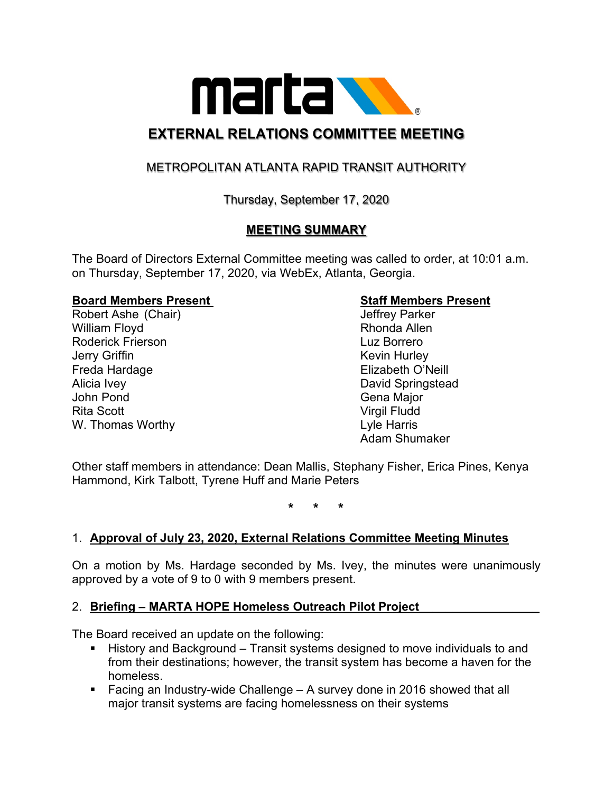

# **EXTERNAL RELATIONS COMMITTEE MEETING**

# METROPOLITAN ATLANTA RAPID TRANSIT AUTHORITY

Thursday, September 17, 2020

## **MEETING SUMMARY**

The Board of Directors External Committee meeting was called to order, at 10:01 a.m. on Thursday, September 17, 2020, via WebEx, Atlanta, Georgia.

# **Board Members Present Staff Members Present**

Robert Ashe (Chair) William Floyd **Rhonda Allen** Roderick Frierson Luz Borrero **Jerry Griffin** Kevin Hurley Freda Hardage **Elizabeth O'Neill** Alicia Ivey David Springstead John Pond Gena Major Rita Scott **Virgil Fludd** W. Thomas Worthy **Lyle Harris** Lyle Harris

Adam Shumaker

Other staff members in attendance: Dean Mallis, Stephany Fisher, Erica Pines, Kenya Hammond, Kirk Talbott, Tyrene Huff and Marie Peters

**\* \* \***

#### 1. **Approval of July 23, 2020, External Relations Committee Meeting Minutes**

On a motion by Ms. Hardage seconded by Ms. Ivey, the minutes were unanimously approved by a vote of 9 to 0 with 9 members present.

#### 2. **Briefing – MARTA HOPE Homeless Outreach Pilot Project\_\_\_\_\_\_\_\_\_\_\_\_\_\_\_\_\_\_**

The Board received an update on the following:

- History and Background Transit systems designed to move individuals to and from their destinations; however, the transit system has become a haven for the homeless.
- Facing an Industry-wide Challenge A survey done in 2016 showed that all major transit systems are facing homelessness on their systems